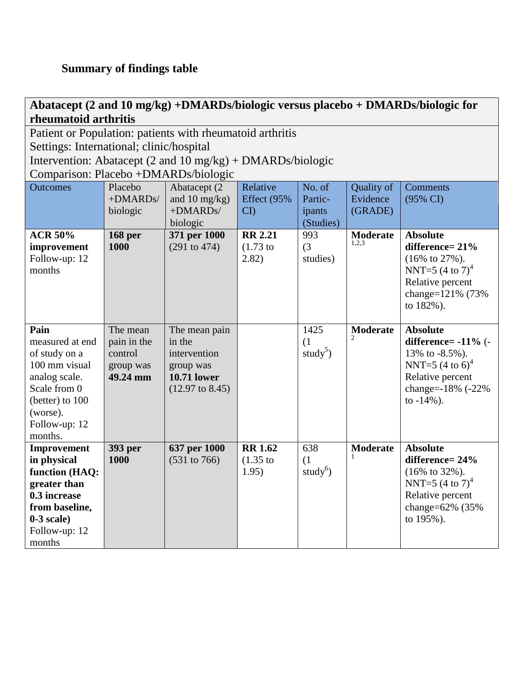**Abatacept (2 and 10 mg/kg) +DMARDs/biologic versus placebo + DMARDs/biologic for rheumatoid arthritis**

Patient or Population: patients with rheumatoid arthritis

Settings: International; clinic/hospital

Intervention: Abatacept (2 and 10 mg/kg) + DMARDs/biologic

Comparison: Placebo +DMARDs/biologic

| <b>Outcomes</b> | Placebo        | Abatacept (2)              | Relative               | No. of               | Quality of      | Comments                    |
|-----------------|----------------|----------------------------|------------------------|----------------------|-----------------|-----------------------------|
|                 | +DMARDs/       | and 10 $mg/kg$ )           | Effect (95%            | Partic-              | Evidence        | (95% CI)                    |
|                 | biologic       | +DMARDs/                   | $\overline{\text{CD}}$ | ipants               | (GRADE)         |                             |
|                 |                | biologic                   |                        | (Studies)            |                 |                             |
| <b>ACR 50%</b>  | <b>168 per</b> | 371 per 1000               | <b>RR 2.21</b>         | 993                  | <b>Moderate</b> | <b>Absolute</b>             |
| improvement     | 1000           | (291 to 474)               | $(1.73)$ to            | (3)                  | 1,2,3           | difference= 21%             |
| Follow-up: 12   |                |                            | 2.82)                  | studies)             |                 | $(16\% \text{ to } 27\%).$  |
| months          |                |                            |                        |                      |                 | NNT=5 $(4 \text{ to } 7)^4$ |
|                 |                |                            |                        |                      |                 | Relative percent            |
|                 |                |                            |                        |                      |                 | change=121% (73%)           |
|                 |                |                            |                        |                      |                 | to 182%).                   |
|                 |                |                            |                        |                      |                 |                             |
| Pain            | The mean       | The mean pain              |                        | 1425                 | <b>Moderate</b> | <b>Absolute</b>             |
| measured at end | pain in the    | in the                     |                        | (1)                  |                 | difference= $-11\%$ (-      |
| of study on a   | control        | intervention               |                        | study <sup>5</sup> ) |                 | 13% to $-8.5%$ ).           |
| 100 mm visual   | group was      | group was                  |                        |                      |                 | NNT=5 $(4 \text{ to } 6)^4$ |
| analog scale.   | 49.24 mm       | <b>10.71 lower</b>         |                        |                      |                 | Relative percent            |
| Scale from 0    |                | $(12.97 \text{ to } 8.45)$ |                        |                      |                 | change=-18% (-22%           |
| (better) to 100 |                |                            |                        |                      |                 | to $-14%$ ).                |
| (worse).        |                |                            |                        |                      |                 |                             |
| Follow-up: 12   |                |                            |                        |                      |                 |                             |
| months.         |                |                            |                        |                      |                 |                             |
| Improvement     | 393 per        | 637 per 1000               | <b>RR 1.62</b>         | 638                  | <b>Moderate</b> | <b>Absolute</b>             |
| in physical     | 1000           | $(531 \text{ to } 766)$    | $(1.35)$ to            | (1)                  |                 | difference= 24%             |
| function (HAQ:  |                |                            | 1.95)                  | study $^{6}$ )       |                 | $(16\% \text{ to } 32\%).$  |
| greater than    |                |                            |                        |                      |                 | NNT=5 $(4 \text{ to } 7)^4$ |
| 0.3 increase    |                |                            |                        |                      |                 | Relative percent            |
| from baseline,  |                |                            |                        |                      |                 | change=62% (35%             |
| $0-3$ scale)    |                |                            |                        |                      |                 | to 195%).                   |
| Follow-up: 12   |                |                            |                        |                      |                 |                             |
| months          |                |                            |                        |                      |                 |                             |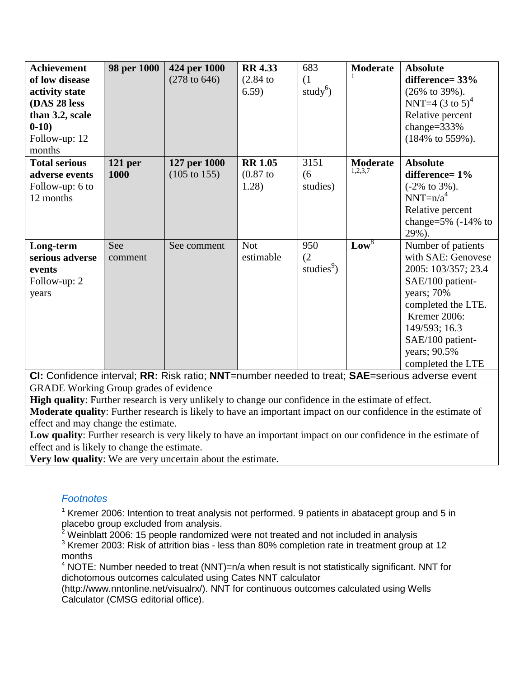| <b>Achievement</b>                                                                             | 98 per 1000    | 424 per 1000            | <b>RR 4.33</b> | 683                    | <b>Moderate</b> | <b>Absolute</b>              |  |  |
|------------------------------------------------------------------------------------------------|----------------|-------------------------|----------------|------------------------|-----------------|------------------------------|--|--|
| of low disease                                                                                 |                | $(278 \text{ to } 646)$ | $(2.84)$ to    | (1)                    |                 | difference= $33%$            |  |  |
| activity state                                                                                 |                |                         | 6.59)          | study <sup>6</sup> )   |                 | $(26\% \text{ to } 39\%).$   |  |  |
| (DAS 28 less                                                                                   |                |                         |                |                        |                 | NNT=4 $(3 \text{ to } 5)^4$  |  |  |
| than 3.2, scale                                                                                |                |                         |                |                        |                 | Relative percent             |  |  |
| $0-10)$                                                                                        |                |                         |                |                        |                 | change= $333%$               |  |  |
| Follow-up: 12                                                                                  |                |                         |                |                        |                 | $(184\% \text{ to } 559\%).$ |  |  |
| months                                                                                         |                |                         |                |                        |                 |                              |  |  |
| <b>Total serious</b>                                                                           | <b>121 per</b> | 127 per 1000            | <b>RR 1.05</b> | 3151                   | <b>Moderate</b> | <b>Absolute</b>              |  |  |
| adverse events                                                                                 | 1000           | $(105 \text{ to } 155)$ | $(0.87)$ to    | (6)                    | 1,2,3,7         | difference= $1\%$            |  |  |
| Follow-up: 6 to                                                                                |                |                         | 1.28)          | studies)               |                 | $(-2\% \text{ to } 3\%).$    |  |  |
| 12 months                                                                                      |                |                         |                |                        |                 | $NNT=n/a^4$                  |  |  |
|                                                                                                |                |                         |                |                        |                 | Relative percent             |  |  |
|                                                                                                |                |                         |                |                        |                 | change= $5\%$ (-14% to       |  |  |
|                                                                                                |                |                         |                |                        |                 | 29%).                        |  |  |
| Long-term                                                                                      | See            | See comment             | <b>Not</b>     | 950                    | $Low^8$         | Number of patients           |  |  |
| serious adverse                                                                                | comment        |                         | estimable      | (2)                    |                 | with SAE: Genovese           |  |  |
| events                                                                                         |                |                         |                | studies <sup>9</sup> ) |                 | 2005: 103/357; 23.4          |  |  |
| Follow-up: 2                                                                                   |                |                         |                |                        |                 | SAE/100 patient-             |  |  |
| years                                                                                          |                |                         |                |                        |                 | years; 70%                   |  |  |
|                                                                                                |                |                         |                |                        |                 | completed the LTE.           |  |  |
|                                                                                                |                |                         |                |                        |                 | Kremer 2006:                 |  |  |
|                                                                                                |                |                         |                |                        |                 | 149/593; 16.3                |  |  |
|                                                                                                |                |                         |                |                        |                 | SAE/100 patient-             |  |  |
|                                                                                                |                |                         |                |                        |                 | years; 90.5%                 |  |  |
|                                                                                                |                |                         |                |                        |                 | completed the LTE            |  |  |
| CI: Confidence interval; RR: Risk ratio; NNT=number needed to treat; SAE=serious adverse event |                |                         |                |                        |                 |                              |  |  |

GRADE Working Group grades of evidence

**High quality**: Further research is very unlikely to change our confidence in the estimate of effect.

**Moderate quality**: Further research is likely to have an important impact on our confidence in the estimate of effect and may change the estimate.

**Low quality**: Further research is very likely to have an important impact on our confidence in the estimate of effect and is likely to change the estimate.

**Very low quality**: We are very uncertain about the estimate.

## *Footnotes*

 $1$  Kremer 2006: Intention to treat analysis not performed. 9 patients in abatacept group and 5 in placebo group excluded from analysis.

<sup>2</sup> Weinblatt 2006: 15 people randomized were not treated and not included in analysis

<sup>3</sup> Kremer 2003: Risk of attrition bias - less than 80% completion rate in treatment group at 12 months

 $4$  NOTE: Number needed to treat (NNT)=n/a when result is not statistically significant. NNT for dichotomous outcomes calculated using Cates NNT calculator

(http://www.nntonline.net/visualrx/). NNT for continuous outcomes calculated using Wells Calculator (CMSG editorial office).